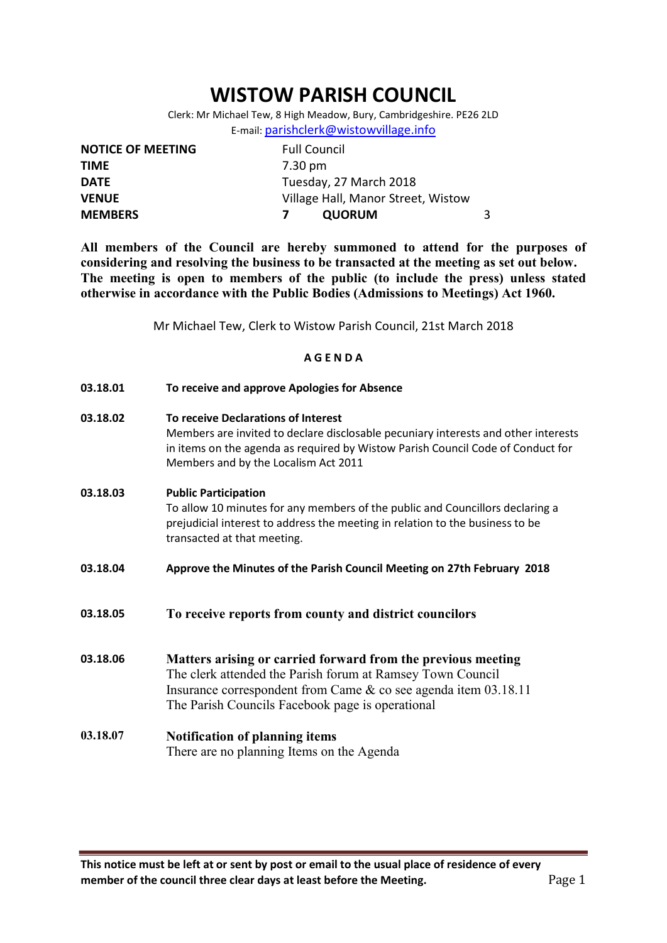# WISTOW PARISH COUNCIL

Clerk: Mr Michael Tew, 8 High Meadow, Bury, Cambridgeshire. PE26 2LD E-mail: parishclerk@wistowvillage.info

| <b>NOTICE OF MEETING</b> | <b>Full Council</b>                |  |
|--------------------------|------------------------------------|--|
| <b>TIME</b>              | 7.30 pm                            |  |
| <b>DATE</b>              | Tuesday, 27 March 2018             |  |
| <b>VENUE</b>             | Village Hall, Manor Street, Wistow |  |
| <b>MEMBERS</b>           | <b>QUORUM</b>                      |  |

All members of the Council are hereby summoned to attend for the purposes of considering and resolving the business to be transacted at the meeting as set out below. The meeting is open to members of the public (to include the press) unless stated otherwise in accordance with the Public Bodies (Admissions to Meetings) Act 1960.

Mr Michael Tew, Clerk to Wistow Parish Council, 21st March 2018

## A G E N D A

| 03.18.01 | To receive and approve Apologies for Absence                                                                                                                                                                                                         |
|----------|------------------------------------------------------------------------------------------------------------------------------------------------------------------------------------------------------------------------------------------------------|
| 03.18.02 | To receive Declarations of Interest<br>Members are invited to declare disclosable pecuniary interests and other interests<br>in items on the agenda as required by Wistow Parish Council Code of Conduct for<br>Members and by the Localism Act 2011 |
| 03.18.03 | <b>Public Participation</b><br>To allow 10 minutes for any members of the public and Councillors declaring a<br>prejudicial interest to address the meeting in relation to the business to be<br>transacted at that meeting.                         |
| 03.18.04 | Approve the Minutes of the Parish Council Meeting on 27th February 2018                                                                                                                                                                              |
| 03.18.05 | To receive reports from county and district councilors                                                                                                                                                                                               |
| 03.18.06 | Matters arising or carried forward from the previous meeting<br>The clerk attended the Parish forum at Ramsey Town Council<br>Insurance correspondent from Came $\&$ co see agenda item 03.18.11<br>The Parish Councils Facebook page is operational |
| 03.18.07 | <b>Notification of planning items</b><br>There are no planning Items on the Agenda                                                                                                                                                                   |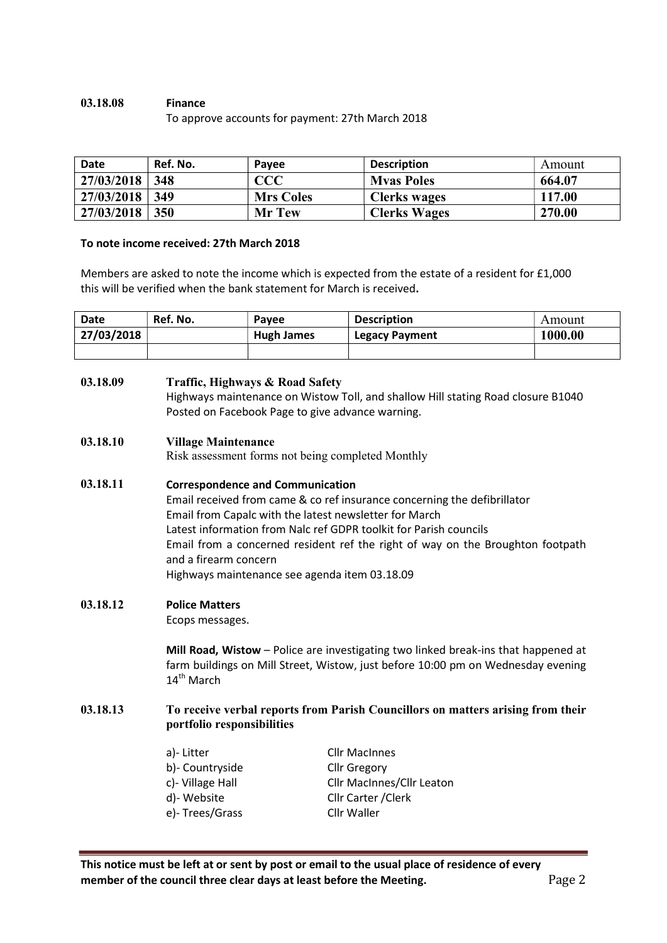# 03.18.08 Finance

To approve accounts for payment: 27th March 2018

| <b>Date</b> | Ref. No. | Payee            | <b>Description</b>  | Amount |
|-------------|----------|------------------|---------------------|--------|
| 27/03/2018  | -348     | CCC              | <b>Myas Poles</b>   | 664.07 |
| 27/03/2018  | 349      | <b>Mrs Coles</b> | <b>Clerks wages</b> | 117.00 |
| 27/03/2018  | 350      | <b>Mr Tew</b>    | <b>Clerks Wages</b> | 270.00 |

#### To note income received: 27th March 2018

Members are asked to note the income which is expected from the estate of a resident for £1,000 this will be verified when the bank statement for March is received.

| <b>Date</b> | Ref. No. | Pavee      | <b>Description</b>    | Amount  |
|-------------|----------|------------|-----------------------|---------|
| 27/03/2018  |          | Hugh James | <b>Legacy Payment</b> | 1000.00 |
|             |          |            |                       |         |

### 03.18.09 Traffic, Highways & Road Safety Highways maintenance on Wistow Toll, and shallow Hill stating Road closure B1040 Posted on Facebook Page to give advance warning.

#### 03.18.10 Village Maintenance

Risk assessment forms not being completed Monthly

#### 03.18.11 Correspondence and Communication

Email received from came & co ref insurance concerning the defibrillator Email from Capalc with the latest newsletter for March Latest information from Nalc ref GDPR toolkit for Parish councils Email from a concerned resident ref the right of way on the Broughton footpath and a firearm concern Highways maintenance see agenda item 03.18.09

#### 03.18.12 Police Matters

Ecops messages.

Mill Road, Wistow – Police are investigating two linked break-ins that happened at farm buildings on Mill Street, Wistow, just before 10:00 pm on Wednesday evening 14<sup>th</sup> March

## 03.18.13 To receive verbal reports from Parish Councillors on matters arising from their portfolio responsibilities

| a)- Litter       | <b>Cllr MacInnes</b>             |
|------------------|----------------------------------|
| b)- Countryside  | <b>Cllr Gregory</b>              |
| c)- Village Hall | <b>Cllr MacInnes/Cllr Leaton</b> |
| d)- Website      | Cllr Carter / Clerk              |
| e)- Trees/Grass  | Cllr Waller                      |